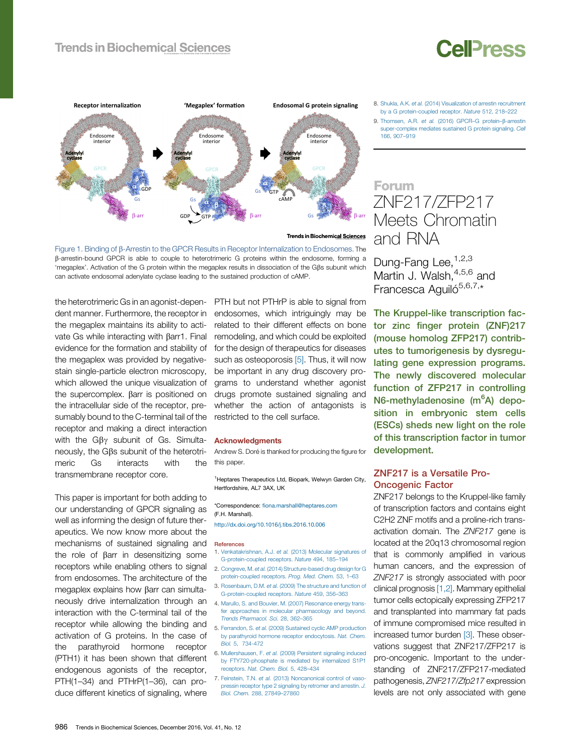## **Trends in Biochemical Sciences**

# **Cell**<sub>ress</sub>



Figure 1. Binding of b-Arrestin to the GPCR Results in Receptor Internalization to Endosomes. The <sup>b</sup>-arrestin-bound GPCR is able to couple to heterotrimeric <sup>G</sup> proteins within the endosome, forming <sup>a</sup> 'megaplex'. Activation of the <sup>G</sup> protein within the megaplex results in dissociation of the <sup>G</sup>b<sup>s</sup> subunit which can activate endosomal adenylate cyclase leading to the sustained production of cAMP.

the heterotrimeric Gs in an agonist-dependent manner. Furthermore, the receptor in the megaplex maintains its ability to activate Gs while interacting with  $\beta$ arr1. Final evidence for the formation and stability of the megaplex was provided by negativestain single-particle electron microscopy, which allowed the unique visualization of the supercomplex.  $\beta$ arr is positioned on the intracellular side of the receptor, presumably bound to the C-terminal tail of the receptor and making a direct interaction with the  $G\beta\gamma$  subunit of Gs. Simultaneously, the G $\beta s$  subunit of the heterotri-<br>meric Gs interacts with the interacts transmembrane receptor core.

This paper is important for both adding to our understanding of GPCR signaling as well as informing the design of future therapeutics. We now know more about the mechanisms of sustained signaling and the role of  $\beta$ arr in desensitizing some receptors while enabling others to signal from endosomes. The architecture of the megaplex explains how  $\beta$ arr can simultaneously drive internalization through an interaction with the C-terminal tail of the receptor while allowing the binding and activation of G proteins. In the case of the parathyroid hormone receptor (PTH1) it has been shown that different endogenous agonists of the receptor, PTH(1–34) and PTHrP(1–36), can produce different kinetics of signaling, where

PTH but not PTHrP is able to signal from endosomes, which intriguingly may be related to their different effects on bone remodeling, and which could be exploited for the design of therapeutics for diseases such as osteoporosis [5]. Thus, it will now be important in any drug discovery programs to understand whether agonist drugs promote sustained signaling and whether the action of antagonists is restricted to the cell surface.

#### Acknowledgments

Andrew S. Doré is thanked for producing the figure for this paper.

<sup>1</sup>Heptares Therapeutics Ltd, Biopark, Welwyn Garden City, Hertfordshire, AL7 3AX, UK

\*Correspondence: fi[ona.marshall@heptares.com](mailto:fiona.marshall@heptares.com) (F.H. Marshall).

<http://dx.doi.org/10.1016/j.tibs.2016.10.006>

#### References

- 1. [Venkatakrishnan,](http://refhub.elsevier.com/S0968-0004(16)30184-0/sbref0050) A.J. et al. (2013) Molecular signatures of [G-protein-coupled](http://refhub.elsevier.com/S0968-0004(16)30184-0/sbref0050) receptors. Nature 494, 185–194
- 2. Congreve, M. et al. (2014) [Structure-based](http://refhub.elsevier.com/S0968-0004(16)30184-0/sbref0055) drug design for G [protein-coupled](http://refhub.elsevier.com/S0968-0004(16)30184-0/sbref0055) receptors. Prog. Med. Chem. 53, 1–63
- 3. [Rosenbaum,](http://refhub.elsevier.com/S0968-0004(16)30184-0/sbref0060) D.M. et al. (2009) The structure and function of [G-protein-coupled](http://refhub.elsevier.com/S0968-0004(16)30184-0/sbref0060) receptors. Nature 459, 356–363
- 4. Marullo, S. and Bouvier, M. (2007) [Resonance](http://refhub.elsevier.com/S0968-0004(16)30184-0/sbref0065) energy transfer approaches in molecular [pharmacology](http://refhub.elsevier.com/S0968-0004(16)30184-0/sbref0065) and beyond. Trends [Pharmacol.](http://refhub.elsevier.com/S0968-0004(16)30184-0/sbref0065) Sci. 28, 362–365
- 5. [Ferrandon,](http://refhub.elsevier.com/S0968-0004(16)30184-0/sbref0070) S. et al. (2009) Sustained cyclic AMP production by parathyroid hormone receptor [endocytosis.](http://refhub.elsevier.com/S0968-0004(16)30184-0/sbref0070) Nat. Chem. Biol. 5, [734-472](http://refhub.elsevier.com/S0968-0004(16)30184-0/sbref0070)
- 6. [Mullershausen,](http://refhub.elsevier.com/S0968-0004(16)30184-0/sbref0075) F. et al. (2009) Persistent signaling induced by [FTY720-phosphate](http://refhub.elsevier.com/S0968-0004(16)30184-0/sbref0075) is mediated by internalized S1P1 [receptors.](http://refhub.elsevier.com/S0968-0004(16)30184-0/sbref0075) Nat. Chem. Biol. 5, 428–434
- 7. Feinstein, T.N. et al. (2013) [Noncanonical](http://refhub.elsevier.com/S0968-0004(16)30184-0/sbref0080) control of vasopressin receptor type 2 [signaling](http://refhub.elsevier.com/S0968-0004(16)30184-0/sbref0080) by retromer and arrestin. J. Biol. [Chem.](http://refhub.elsevier.com/S0968-0004(16)30184-0/sbref0080) 288, 27849–27860

9. [Thomsen,](http://refhub.elsevier.com/S0968-0004(16)30184-0/sbref0090) A.R. et al. (2016) GPCR-G protein-β-arrestin [super-complex](http://refhub.elsevier.com/S0968-0004(16)30184-0/sbref0090) mediates sustained G protein signaling. Cell [166,](http://refhub.elsevier.com/S0968-0004(16)30184-0/sbref0090) 907–919

# Forum ZNF217/ZFP217 Meets Chromatin and RNA

Dung-Fang Lee, 1,[2,3](#page-2-0) Martin J. Walsh, [4,5,6](#page-2-0) and Francesca Aguiló<sup>[5,6,7,](#page-2-0)\*</sup>

The Kruppel-like transcription factor zinc finger protein (ZNF)217 (mouse homolog ZFP217) contributes to tumorigenesis by dysregulating gene expression programs. The newly discovered molecular function of ZFP217 in controlling N6-methyladenosine (m<sup>6</sup>A) deposition in embryonic stem cells (ESCs) sheds new light on the role of this transcription factor in tumor development.

### ZNF217 is a Versatile Pro-Oncogenic Factor

ZNF217 belongs to the Kruppel-like family of transcription factors and contains eight C2H2 ZNF motifs and a proline-rich transactivation domain. The ZNF217 gene is located at the 20q13 chromosomal region that is commonly amplified in various human cancers, and the expression of ZNF217 is strongly associated with poor clinical prognosis [\[1,2\].](#page-2-0) Mammary epithelial tumor cells ectopically expressing ZFP217 and transplanted into mammary fat pads of immune compromised mice resulted in increased tumor burden [\[3\].](#page-2-0) These observations suggest that ZNF217/ZFP217 is pro-oncogenic. Important to the understanding of ZNF217/ZFP217-mediated pathogenesis, ZNF217/Zfp217 expression levels are not only associated with gene

<sup>8.</sup> Shukla, A.K. et al. (2014) [Visualization](http://refhub.elsevier.com/S0968-0004(16)30184-0/sbref0085) of arrestin recruitment by a G [protein-coupled](http://refhub.elsevier.com/S0968-0004(16)30184-0/sbref0085) receptor. Nature 512, 218–222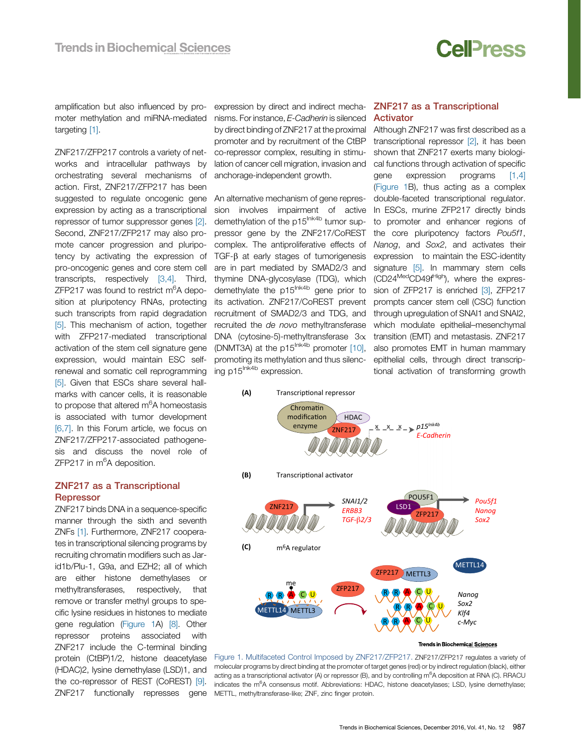

<span id="page-1-0"></span>amplification but also influenced by promoter methylation and miRNA-mediated targeting [\[1\]](#page-2-0).

ZNF217/ZFP217 controls a variety of networks and intracellular pathways by orchestrating several mechanisms of action. First, ZNF217/ZFP217 has been suggested to regulate oncogenic gene expression by acting as a transcriptional repressor of tumor suppressor genes [\[2\]](#page-2-0). Second, ZNF217/ZFP217 may also promote cancer progression and pluripotency by activating the expression of pro-oncogenic genes and core stem cell transcripts, respectively [\[3,4\].](#page-2-0) Third, ZFP217 was found to restrict m<sup>6</sup>A deposition at pluripotency RNAs, protecting such transcripts from rapid degradation [\[5\]](#page-2-0). This mechanism of action, together with **ZFP217-mediated** transcriptional activation of the stem cell signature gene expression, would maintain ESC selfrenewal and somatic cell reprogramming [\[5\]](#page-2-0). Given that ESCs share several hallmarks with cancer cells, it is reasonable to propose that altered m<sup>6</sup>A homeostasis is associated with tumor development [\[6,7\].](#page-2-0) In this Forum article, we focus on ZNF217/ZFP217-associated pathogenesis and discuss the novel role of ZFP217 in m<sup>6</sup>A deposition.

### ZNF217 as a Transcriptional **Repressor**

ZNF217 binds DNA in a sequence-specific manner through the sixth and seventh ZNFs [\[1\]](#page-2-0). Furthermore, ZNF217 cooperates in transcriptional silencing programs by recruiting chromatin modifiers such as Jarid1b/Plu-1, G9a, and EZH2; all of which are either histone demethylases or methyltransferases, respectively, that remove or transfer methyl groups to specific lysine residues in histones to mediate gene regulation (Figure 1A) [\[8\].](#page-2-0) Other repressor proteins associated with ZNF217 include the C-terminal binding protein (CtBP)1/2, histone deacetylase (HDAC)2, lysine demethylase (LSD)1, and the co-repressor of REST (CoREST) [\[9\]](#page-2-0). ZNF217 functionally represses gene

expression by direct and indirect mecha- **ZNF217 as a Transcriptional** nisms. For instance, E-Cadherin is silenced by direct binding of ZNF217 at the proximal promoter and by recruitment of the CtBP co-repressor complex, resulting in stimulation of cancer cell migration, invasion and anchorage-independent growth.

An alternative mechanism of gene repression involves impairment of active demethylation of the p15<sup>Ink4b</sup> tumor suppressor gene by the ZNF217/CoREST complex. The antiproliferative effects of  $TGF- $\beta$  at early stages of tumorigeness$ are in part mediated by SMAD2/3 and thymine DNA-glycosylase (TDG), which demethylate the p15<sup>Ink4b</sup> gene prior to its activation. ZNF217/CoREST prevent recruitment of SMAD2/3 and TDG, and recruited the de novo methyltransferase DNA (cytosine-5)-methyltransferase  $3\alpha$ (DNMT3A) at the  $p15^{\text{lnk4b}}$  promoter  $[10]$ , promoting its methylation and thus silencing p15<sup>Ink4b</sup> expression.

# Activator

Although ZNF217 was first described as a transcriptional repressor [\[2\],](#page-2-0) it has been shown that ZNF217 exerts many biological functions through activation of specific gene expression programs [\[1,4\]](#page-2-0) (Figure 1B), thus acting as a complex double-faceted transcriptional regulator. In ESCs, murine ZFP217 directly binds to promoter and enhancer regions of the core pluripotency factors Pou5f1, Nanog, and Sox2, and activates their expression to maintain the ESC-identity signature [\[5\]](#page-2-0). In mammary stem cells (CD24<sup>Med</sup>CD49f<sup>High</sup>), where the expres-sion of ZFP217 is enriched [\[3\]](#page-2-0), ZFP217 prompts cancer stem cell (CSC) function through upregulation of SNAI1 and SNAI2, which modulate epithelial–mesenchymal transition (EMT) and metastasis. ZNF217 also promotes EMT in human mammary epithelial cells, through direct transcriptional activation of transforming growth



Figure 1. Multifaceted Control Imposed by ZNF217/ZFP217. ZNF217/ZFP217 regulates a variety of molecular programs by direct binding at the promoter of target genes (red) or by indirect regulation (black), either acting as a transcriptional activator (A) or repressor (B), and by controlling m<sup>6</sup>A deposition at RNA (C). RRACU indicates the m<sup>6</sup>A consensus motif. Abbreviations: HDAC, histone deacetylases; LSD, lysine demethylase; METTL, methyltransferase-like; ZNF, zinc finger protein.